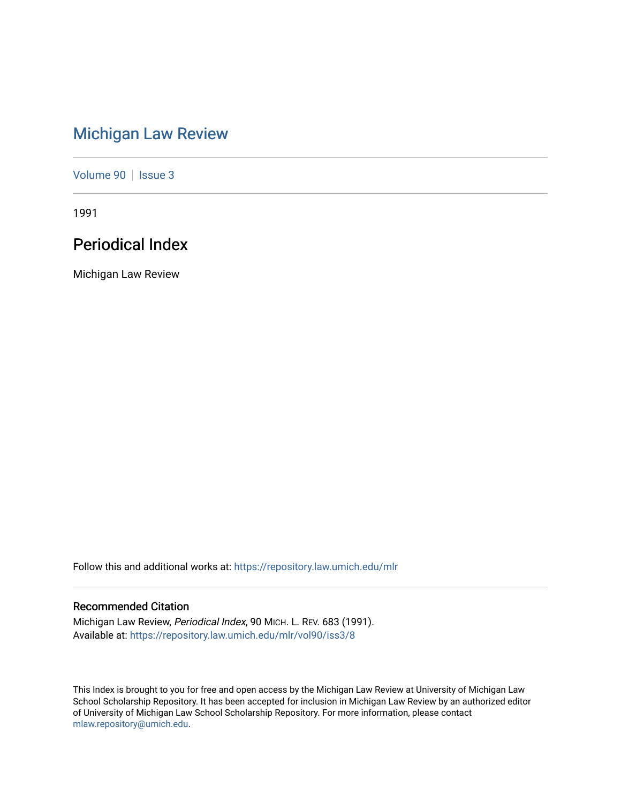# [Michigan Law Review](https://repository.law.umich.edu/mlr)

[Volume 90](https://repository.law.umich.edu/mlr/vol90) | [Issue 3](https://repository.law.umich.edu/mlr/vol90/iss3)

1991

# Periodical Index

Michigan Law Review

Follow this and additional works at: [https://repository.law.umich.edu/mlr](https://repository.law.umich.edu/mlr?utm_source=repository.law.umich.edu%2Fmlr%2Fvol90%2Fiss3%2F8&utm_medium=PDF&utm_campaign=PDFCoverPages) 

# Recommended Citation

Michigan Law Review, Periodical Index, 90 MICH. L. REV. 683 (1991). Available at: [https://repository.law.umich.edu/mlr/vol90/iss3/8](https://repository.law.umich.edu/mlr/vol90/iss3/8?utm_source=repository.law.umich.edu%2Fmlr%2Fvol90%2Fiss3%2F8&utm_medium=PDF&utm_campaign=PDFCoverPages)

This Index is brought to you for free and open access by the Michigan Law Review at University of Michigan Law School Scholarship Repository. It has been accepted for inclusion in Michigan Law Review by an authorized editor of University of Michigan Law School Scholarship Repository. For more information, please contact [mlaw.repository@umich.edu.](mailto:mlaw.repository@umich.edu)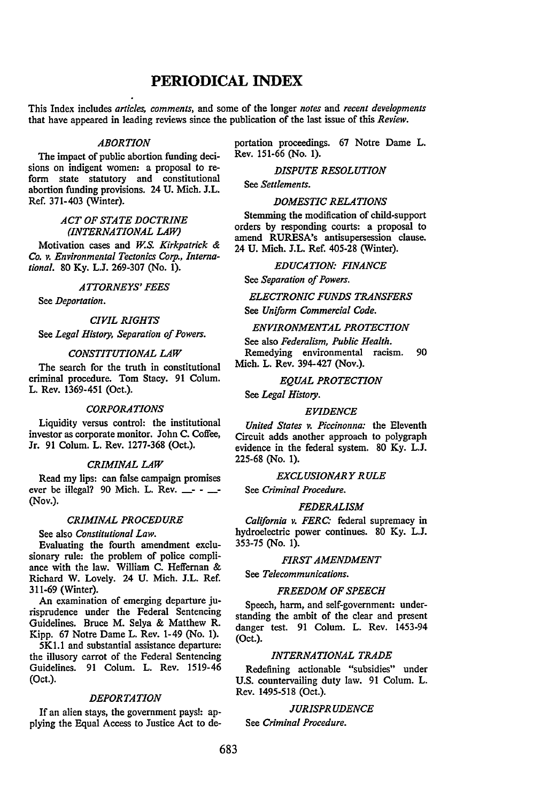# **PERIODICAL INDEX**

This Index includes *articles, comments,* and some of the longer *notes* and *recent developments*  that have appeared in leading reviews since the publication of the last issue of this *Review.* 

#### *ABORTION*

The impact of public abortion funding decisions on indigent women: a proposal to reform state statutory and constitutional abortion funding provisions. 24 U. Mich. J.L. Ref. 371-403 (Winter).

# *ACT OF STATE DOCTRINE (INTERNATIONAL LAW)*

Motivation cases and *W.S. Kirkpatrick* & *Co. v. Environmental Tectonics Corp., International.* SO Ky. L.J. 269-307 (No. 1).

#### *ATTORNEYS' FEES*

See *Deportation.* 

# *CIVIL RIGHTS*

See *Legal History, Separation of Powers.* 

# *CONSTITUTIONAL LAW*

The search for the truth in constitutional criminal procedure. Tom Stacy. 91 Colum. L. Rev. 1369-451 (Oct.).

# *CORPORATIONS*

Liquidity versus control: the institutional investor as corporate monitor. John C. Coffee, Jr. 91 Colum. L. Rev. 1277-368 (Oct.).

### *CRIMINAL LAW*

Read my lips: can false campaign promises ever be illegal? 90 Mich. L. Rev.  $\frac{1}{2}$  -  $\frac{1}{2}$ (Nov.).

### *CRIMINAL PROCEDURE*

#### See also *Constitutional Law.*

Evaluating the fourth amendment exclusionary rule: the problem of police compliance with the law. William C. Heffernan & Richard W. Lovely. 24 U. Mich. J.L. Ref. 311-69 (Winter).

An examination of emerging departure jurisprudence under the Federal Sentencing Guidelines. Bruce M. Selya & Matthew R. Kipp. 67 Notre Dame L. Rev. 1-49 (No. 1).

5Kl.l and substantial assistance departure: the illusory carrot of the Federal Sentencing Guidelines. 91 Colum. L. Rev. 1519-46 (Oct.).

## *DEPORTATION*

If an alien stays, the government pays!: applying the Equal Access to Justice Act to deportation proceedings. 67 Notre Dame L. Rev. 151-66 (No. 1).

# *DISPUTE RESOLUTION*

See *Settlements.* 

#### *DOMESTIC RELATIONS*

Stemming the modification of child-support orders by responding courts: a proposal to amend RURESA's antisupersession clause. 24 U. Mich. J.L. Ref. 405-28 (Winter).

#### *EDUCATION: FINANCE*

See *Separation of Powers.* 

### *ELECTRONIC FUNDS TRANSFERS*

See *Uniform Commercial Code.* 

# *ENVIRONMENTAL PROTECTION*

See also *Federalism, Public Health.* 

Remedying environmental racism. 90 Mich. L. Rev. 394-427 (Nov.).

#### *EQUAL PROTECTION*

See *Legal History.* 

#### *EVIDENCE*

*United States v. Piccinonna:* the Eleventh Circuit adds another approach to polygraph evidence in the federal system. 80 Ky. L.J. 225-68 (No. 1).

# *EXCLUSIONARY RULE*

See *Criminal Procedure.* 

#### *FEDERALISM*

*California v. FERC:* federal supremacy in hydroelectric power continues. 80 Ky. L.J. 353-75 (No. 1).

#### *FIRST AMENDMENT*

See *Telecommunications.* 

# *FREEDOM OF SPEECH*

Speech, harm, and self-government: understanding the ambit of the clear and present danger test. 91 Colum. L. Rev. 1453-94 (Oct.).

# *INTERNATIONAL TRADE*

Redefining actionable "subsidies" under U.S. countervailing duty law. 91 Colum. L. Rev. 1495-518 (Oct.).

### *JURISPRUDENCE*

See *Criminal Procedure.*